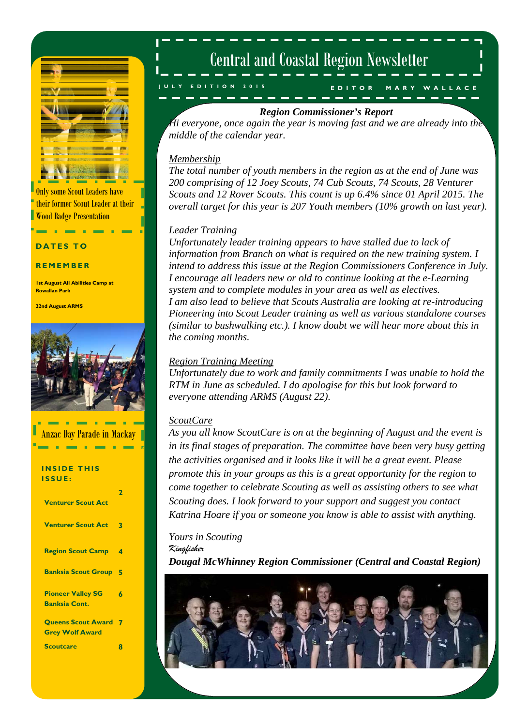

Only some Scout Leaders have their former Scout Leader at their Wood Badge Presentation

#### **DATES**

#### **REMEMBER**

**1st August All Abilities Camp at Rowallan Park** 

**22nd August ARMS** 



| - 8                                                 |   |
|-----------------------------------------------------|---|
| <b>Anzac Day Parade in Mackay</b>                   |   |
| <b>INSIDE THIS</b><br>ISSUE:                        |   |
| <b>Venturer Scout Act</b>                           | 2 |
| <b>Venturer Scout Act</b>                           | 3 |
| <b>Region Scout Camp</b>                            | 4 |
| <b>Banksia Scout Group 5</b>                        |   |
| <b>Pioneer Valley SG</b><br><b>Banksia Cont.</b>    | 6 |
| <b>Queens Scout Award</b><br><b>Grey Wolf Award</b> |   |
| <b>Scoutcare</b>                                    | 8 |

## Central and Coastal Region Newsletter

**EDITOR MARY WALLACE JULY EDITION 2015** 

### *Region Commissioner's Report*

*Hi everyone, once again the year is moving fast and we are already into the middle of the calendar year.* 

### *Membership*

*The total number of youth members in the region as at the end of June was 200 comprising of 12 Joey Scouts, 74 Cub Scouts, 74 Scouts, 28 Venturer Scouts and 12 Rover Scouts. This count is up 6.4% since 01 April 2015. The overall target for this year is 207 Youth members (10% growth on last year).* 

### *Leader Training*

*Unfortunately leader training appears to have stalled due to lack of information from Branch on what is required on the new training system. I intend to address this issue at the Region Commissioners Conference in July. I encourage all leaders new or old to continue looking at the e-Learning system and to complete modules in your area as well as electives. I am also lead to believe that Scouts Australia are looking at re-introducing Pioneering into Scout Leader training as well as various standalone courses (similar to bushwalking etc.). I know doubt we will hear more about this in the coming months.* 

### *Region Training Meeting*

*Unfortunately due to work and family commitments I was unable to hold the RTM in June as scheduled. I do apologise for this but look forward to everyone attending ARMS (August 22).* 

### *ScoutCare*

*As you all know ScoutCare is on at the beginning of August and the event is in its final stages of preparation. The committee have been very busy getting the activities organised and it looks like it will be a great event. Please promote this in your groups as this is a great opportunity for the region to come together to celebrate Scouting as well as assisting others to see what Scouting does. I look forward to your support and suggest you contact Katrina Hoare if you or someone you know is able to assist with anything.* 

*Yours in Scouting Kingfisher Dougal McWhinney Region Commissioner (Central and Coastal Region)* 

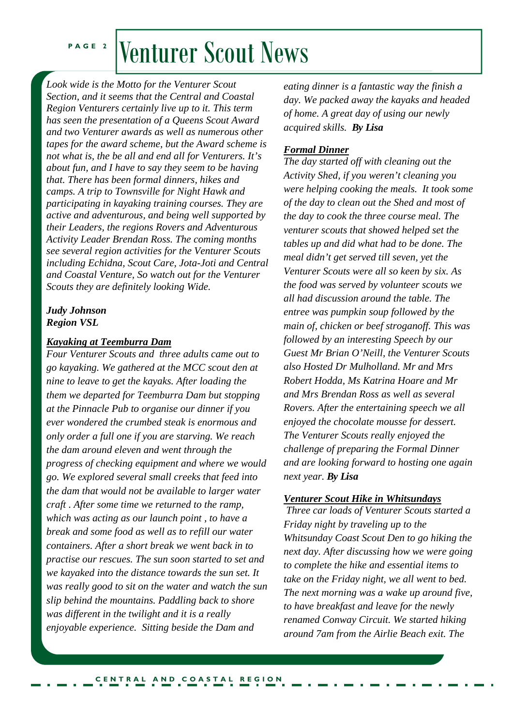# PAGE 2 Venturer Scout News

*Look wide is the Motto for the Venturer Scout Section, and it seems that the Central and Coastal Region Venturers certainly live up to it. This term has seen the presentation of a Queens Scout Award and two Venturer awards as well as numerous other tapes for the award scheme, but the Award scheme is not what is, the be all and end all for Venturers. It's about fun, and I have to say they seem to be having that. There has been formal dinners, hikes and camps. A trip to Townsville for Night Hawk and participating in kayaking training courses. They are active and adventurous, and being well supported by their Leaders, the regions Rovers and Adventurous Activity Leader Brendan Ross. The coming months see several region activities for the Venturer Scouts including Echidna, Scout Care, Jota-Joti and Central and Coastal Venture, So watch out for the Venturer Scouts they are definitely looking Wide.* 

### *Judy Johnson Region VSL*

### *Kayaking at Teemburra Dam*

*Four Venturer Scouts and three adults came out to go kayaking. We gathered at the MCC scout den at nine to leave to get the kayaks. After loading the them we departed for Teemburra Dam but stopping at the Pinnacle Pub to organise our dinner if you ever wondered the crumbed steak is enormous and only order a full one if you are starving. We reach the dam around eleven and went through the progress of checking equipment and where we would go. We explored several small creeks that feed into the dam that would not be available to larger water craft . After some time we returned to the ramp, which was acting as our launch point , to have a break and some food as well as to refill our water containers. After a short break we went back in to practise our rescues. The sun soon started to set and we kayaked into the distance towards the sun set. It was really good to sit on the water and watch the sun slip behind the mountains. Paddling back to shore was different in the twilight and it is a really enjoyable experience. Sitting beside the Dam and* 

*eating dinner is a fantastic way the finish a day. We packed away the kayaks and headed of home. A great day of using our newly acquired skills. By Lisa* 

### *Formal Dinner*

 $G$ *uest Mr Brian O'Neill, the Venturer Scouts* **BILLY CARTING**  *of the day to clean out the Shed and most of The day started off with cleaning out the Activity Shed, if you weren't cleaning you were helping cooking the meals. It took some the day to cook the three course meal. The venturer scouts that showed helped set the tables up and did what had to be done. The meal didn't get served till seven, yet the Venturer Scouts were all so keen by six. As the food was served by volunteer scouts we all had discussion around the table. The entree was pumpkin soup followed by the main of, chicken or beef stroganoff. This was followed by an interesting Speech by our also Hosted Dr Mulholland. Mr and Mrs Robert Hodda, Ms Katrina Hoare and Mr and Mrs Brendan Ross as well as several Rovers. After the entertaining speech we all enjoyed the chocolate mousse for dessert. The Venturer Scouts really enjoyed the challenge of preparing the Formal Dinner and are looking forward to hosting one again next year. By Lisa* 

### *<u>Venturer Scout Hike in Whitsundays</u>*

 *Three car loads of Venturer Scouts started a Friday night by traveling up to the Whitsunday Coast Scout Den to go hiking the next day. After discussing how we were going to complete the hike and essential items to take on the Friday night, we all went to bed. The next morning was a wake up around five, to have breakfast and leave for the newly renamed Conway Circuit. We started hiking around 7am from the Airlie Beach exit. The*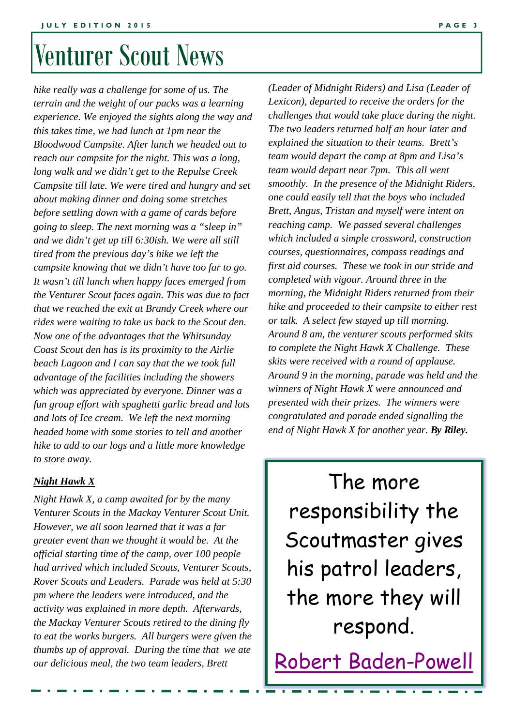# Venturer Scout News

*hike really was a challenge for some of us. The terrain and the weight of our packs was a learning experience. We enjoyed the sights along the way and this takes time, we had lunch at 1pm near the Bloodwood Campsite. After lunch we headed out to reach our campsite for the night. This was a long, long walk and we didn't get to the Repulse Creek Campsite till late. We were tired and hungry and set about making dinner and doing some stretches before settling down with a game of cards before going to sleep. The next morning was a "sleep in" and we didn't get up till 6:30ish. We were all still tired from the previous day's hike we left the campsite knowing that we didn't have too far to go. It wasn't till lunch when happy faces emerged from the Venturer Scout faces again. This was due to fact that we reached the exit at Brandy Creek where our rides were waiting to take us back to the Scout den. Now one of the advantages that the Whitsunday Coast Scout den has is its proximity to the Airlie beach Lagoon and I can say that the we took full advantage of the facilities including the showers which was appreciated by everyone. Dinner was a fun group effort with spaghetti garlic bread and lots and lots of Ice cream. We left the next morning headed home with some stories to tell and another hike to add to our logs and a little more knowledge to store away.* 

### *Night Hawk X*

*Night Hawk X, a camp awaited for by the many Venturer Scouts in the Mackay Venturer Scout Unit. However, we all soon learned that it was a far greater event than we thought it would be. At the official starting time of the camp, over 100 people had arrived which included Scouts, Venturer Scouts, Rover Scouts and Leaders. Parade was held at 5:30 pm where the leaders were introduced, and the activity was explained in more depth. Afterwards, the Mackay Venturer Scouts retired to the dining fly to eat the works burgers. All burgers were given the thumbs up of approval. During the time that we ate our delicious meal, the two team leaders, Brett* 

*Mud Maidens Around 8 am, the venturer scouts performed skits (Leader of Midnight Riders) and Lisa (Leader of Lexicon), departed to receive the orders for the challenges that would take place during the night. The two leaders returned half an hour later and explained the situation to their teams. Brett's team would depart the camp at 8pm and Lisa's team would depart near 7pm. This all went smoothly. In the presence of the Midnight Riders, one could easily tell that the boys who included Brett, Angus, Tristan and myself were intent on reaching camp. We passed several challenges which included a simple crossword, construction courses, questionnaires, compass readings and first aid courses. These we took in our stride and completed with vigour. Around three in the morning, the Midnight Riders returned from their hike and proceeded to their campsite to either rest or talk. A select few stayed up till morning. to complete the Night Hawk X Challenge. These skits were received with a round of applause. Around 9 in the morning, parade was held and the winners of Night Hawk X were announced and presented with their prizes. The winners were congratulated and parade ended signalling the end of Night Hawk X for another year. By Riley.*

The more responsibility the Scoutmaster gives his patrol leaders, the more they will respond.

Robert Baden-Powell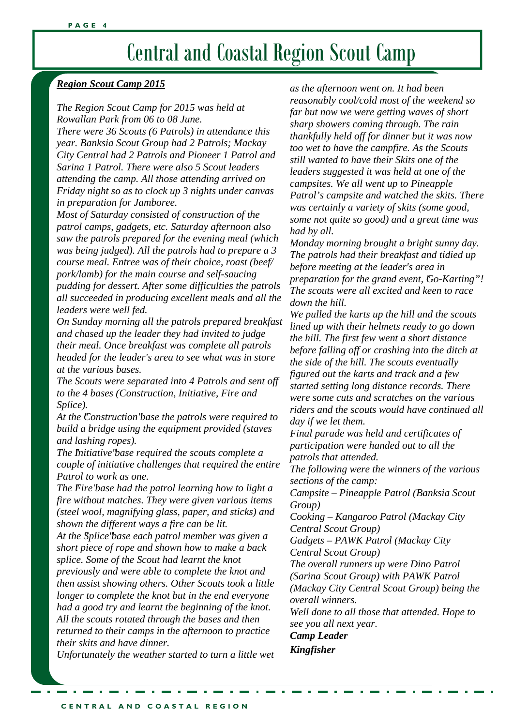## Central and Coastal Region Scout Camp

### *Region Scout Camp 2015*

*The Region Scout Camp for 2015 was held at Rowallan Park from 06 to 08 June.* 

*There were 36 Scouts (6 Patrols) in attendance this year. Banksia Scout Group had 2 Patrols; Mackay City Central had 2 Patrols and Pioneer 1 Patrol and Sarina 1 Patrol. There were also 5 Scout leaders attending the camp. All those attending arrived on Friday night so as to clock up 3 nights under canvas in preparation for Jamboree.* 

*Most of Saturday consisted of construction of the patrol camps, gadgets, etc. Saturday afternoon also saw the patrols prepared for the evening meal (which was being judged). All the patrols had to prepare a 3 course meal. Entree was of their choice, roast (beef/ pork/lamb) for the main course and self-saucing pudding for dessert. After some difficulties the patrols all succeeded in producing excellent meals and all the leaders were well fed.* 

*On Sunday morning all the patrols prepared breakfast and chased up the leader they had invited to judge their meal. Once breakfast was complete all patrols headed for the leader's area to see what was in store at the various bases.* 

*The Scouts were separated into 4 Patrols and sent off to the 4 bases (Construction, Initiative, Fire and Splice).* 

*At the "Construction" base the patrols were required to build a bridge using the equipment provided (staves and lashing ropes).* 

*The "Initiative" base required the scouts complete a couple of initiative challenges that required the entire Patrol to work as one.* 

*The Fire'base had the patrol learning how to light a fire without matches. They were given various items (steel wool, magnifying glass, paper, and sticks) and shown the different ways a fire can be lit.* 

*At the "Splice" base each patrol member was given a short piece of rope and shown how to make a back splice. Some of the Scout had learnt the knot previously and were able to complete the knot and then assist showing others. Other Scouts took a little longer to complete the knot but in the end everyone had a good try and learnt the beginning of the knot. All the scouts rotated through the bases and then returned to their camps in the afternoon to practice their skits and have dinner.* 

*Unfortunately the weather started to turn a little wet* 

*as the afternoon went on. It had been reasonably cool/cold most of the weekend so far but now we were getting waves of short sharp showers coming through. The rain thankfully held off for dinner but it was now too wet to have the campfire. As the Scouts still wanted to have their Skits one of the leaders suggested it was held at one of the campsites. We all went up to Pineapple Patrol's campsite and watched the skits. There was certainly a variety of skits (some good, some not quite so good) and a great time was had by all.* 

*Monday morning brought a bright sunny day. The patrols had their breakfast and tidied up before meeting at the leader's area in preparation for the grand event, Go-Karting"! The scouts were all excited and keen to race down the hill.* 

*We pulled the karts up the hill and the scouts lined up with their helmets ready to go down the hill. The first few went a short distance before falling off or crashing into the ditch at the side of the hill. The scouts eventually figured out the karts and track and a few started setting long distance records. There were some cuts and scratches on the various riders and the scouts would have continued all day if we let them.* 

*Final parade was held and certificates of participation were handed out to all the patrols that attended.* 

*The following were the winners of the various sections of the camp:* 

*Campsite – Pineapple Patrol (Banksia Scout Group)* 

*Cooking – Kangaroo Patrol (Mackay City Central Scout Group)* 

*Gadgets – PAWK Patrol (Mackay City Central Scout Group)* 

*The overall runners up were Dino Patrol (Sarina Scout Group) with PAWK Patrol (Mackay City Central Scout Group) being the overall winners.* 

*Well done to all those that attended. Hope to see you all next year.* 

*Camp Leader Kingfisher*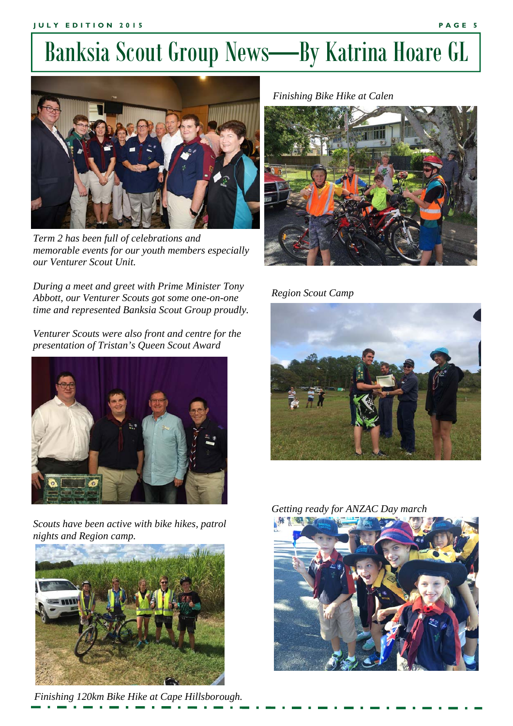## Banksia Scout Group News—By Katrina Hoare GL



*Term 2 has been full of celebrations and memorable events for our youth members especially our Venturer Scout Unit.* 

*During a meet and greet with Prime Minister Tony Abbott, our Venturer Scouts got some one-on-one time and represented Banksia Scout Group proudly.* 

*Venturer Scouts were also front and centre for the presentation of Tristan's Queen Scout Award* 



*Scouts have been active with bike hikes, patrol nights and Region camp.* 



*Finishing 120km Bike Hike at Cape Hillsborough.* 

*Finishing Bike Hike at Calen* 



*Region Scout Camp* 



*Getting ready for ANZAC Day march* 

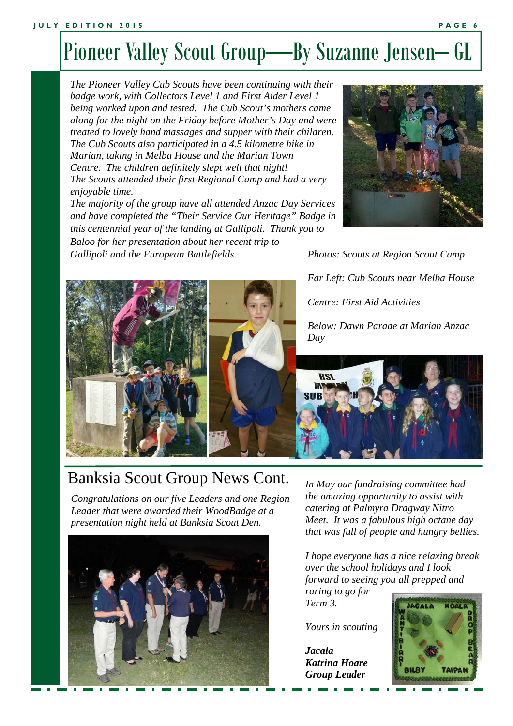## Pioneer Valley Scout Group—By Suzanne Jensen– GL

*The Pioneer Valley Cub Scouts have been continuing with their badge work, with Collectors Level 1 and First Aider Level 1 being worked upon and tested. The Cub Scout's mothers came along for the night on the Friday before Mother's Day and were treated to lovely hand massages and supper with their children. The Cub Scouts also participated in a 4.5 kilometre hike in Marian, taking in Melba House and the Marian Town Centre. The children definitely slept well that night! The Scouts attended their first Regional Camp and had a very enjoyable time.* 

*The majority of the group have all attended Anzac Day Services and have completed the "Their Service Our Heritage" Badge in this centennial year of the landing at Gallipoli. Thank you to Baloo for her presentation about her recent trip to* 

*Gallipoli and the European Battlefields.* 



*Photos: Scouts at Region Scout Camp Far Left: Cub Scouts near Melba House Centre: First Aid Activities Below: Dawn Parade at Marian Anzac* 



### Banksia Scout Group News Cont.

*Congratulations on our five Leaders and one Region Leader that were awarded their WoodBadge at a presentation night held at Banksia Scout Den.* 



*In May our fundraising committee had the amazing opportunity to assist with catering at Palmyra Dragway Nitro Meet. It was a fabulous high octane day that was full of people and hungry bellies.* 

*I hope everyone has a nice relaxing break over the school holidays and I look forward to seeing you all prepped and* 

*raring to go for Term 3.* 

*Yours in scouting* 

*Jacala Katrina Hoare Group Leader* 

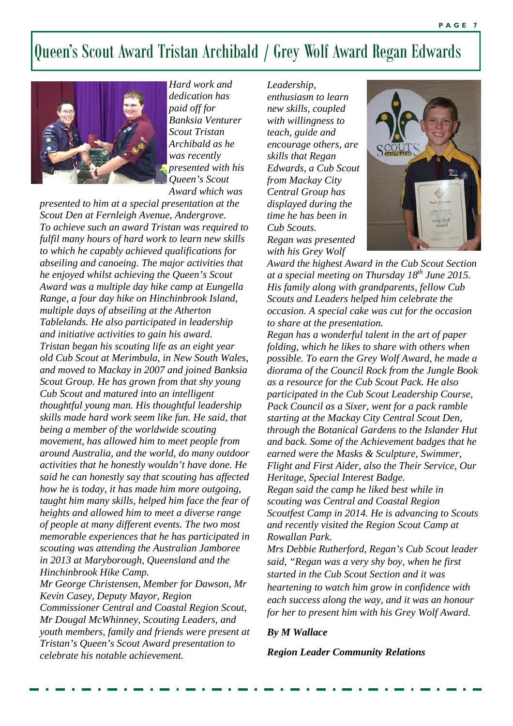### Queen's Scout Award Tristan Archibald / Grey Wolf Award Regan Edwards



*Hard work and dedication has paid off for Banksia Venturer Scout Tristan Archibald as he was recently presented with his Queen's Scout Award which was* 

*presented to him at a special presentation at the Scout Den at Fernleigh Avenue, Andergrove. To achieve such an award Tristan was required to fulfil many hours of hard work to learn new skills to which he capably achieved qualifications for abseiling and canoeing. The major activities that he enjoyed whilst achieving the Queen's Scout Award was a multiple day hike camp at Eungella Range, a four day hike on Hinchinbrook Island, multiple days of abseiling at the Atherton Tablelands. He also participated in leadership and initiative activities to gain his award. Tristan began his scouting life as an eight year old Cub Scout at Merimbula, in New South Wales, and moved to Mackay in 2007 and joined Banksia Scout Group. He has grown from that shy young Cub Scout and matured into an intelligent thoughtful young man. His thoughtful leadership skills made hard work seem like fun. He said, that being a member of the worldwide scouting movement, has allowed him to meet people from around Australia, and the world, do many outdoor activities that he honestly wouldn't have done. He said he can honestly say that scouting has affected how he is today, it has made him more outgoing, taught him many skills, helped him face the fear of heights and allowed him to meet a diverse range of people at many different events. The two most memorable experiences that he has participated in scouting was attending the Australian Jamboree in 2013 at Maryborough, Queensland and the Hinchinbrook Hike Camp.* 

*Mr George Christensen, Member for Dawson, Mr Kevin Casey, Deputy Mayor, Region Commissioner Central and Coastal Region Scout, Mr Dougal McWhinney, Scouting Leaders, and youth members, family and friends were present at Tristan's Queen's Scout Award presentation to celebrate his notable achievement.* 

*Leadership, enthusiasm to learn new skills, coupled with willingness to teach, guide and encourage others, are skills that Regan Edwards, a Cub Scout from Mackay City Central Group has displayed during the time he has been in Cub Scouts. Regan was presented with his Grey Wolf* 



*Award the highest Award in the Cub Scout Section at a special meeting on Thursday 18th June 2015. His family along with grandparents, fellow Cub Scouts and Leaders helped him celebrate the occasion. A special cake was cut for the occasion to share at the presentation.* 

*Regan has a wonderful talent in the art of paper folding, which he likes to share with others when possible. To earn the Grey Wolf Award, he made a diorama of the Council Rock from the Jungle Book as a resource for the Cub Scout Pack. He also participated in the Cub Scout Leadership Course, Pack Council as a Sixer, went for a pack ramble starting at the Mackay City Central Scout Den, through the Botanical Gardens to the Islander Hut and back. Some of the Achievement badges that he earned were the Masks & Sculpture, Swimmer, Flight and First Aider, also the Their Service, Our Heritage, Special Interest Badge. Regan said the camp he liked best while in scouting was Central and Coastal Region Scoutfest Camp in 2014. He is advancing to Scouts and recently visited the Region Scout Camp at Rowallan Park.* 

*Mrs Debbie Rutherford, Regan's Cub Scout leader said, "Regan was a very shy boy, when he first started in the Cub Scout Section and it was heartening to watch him grow in confidence with each success along the way, and it was an honour for her to present him with his Grey Wolf Award.* 

#### *By M Wallace*

*Region Leader Community Relations*